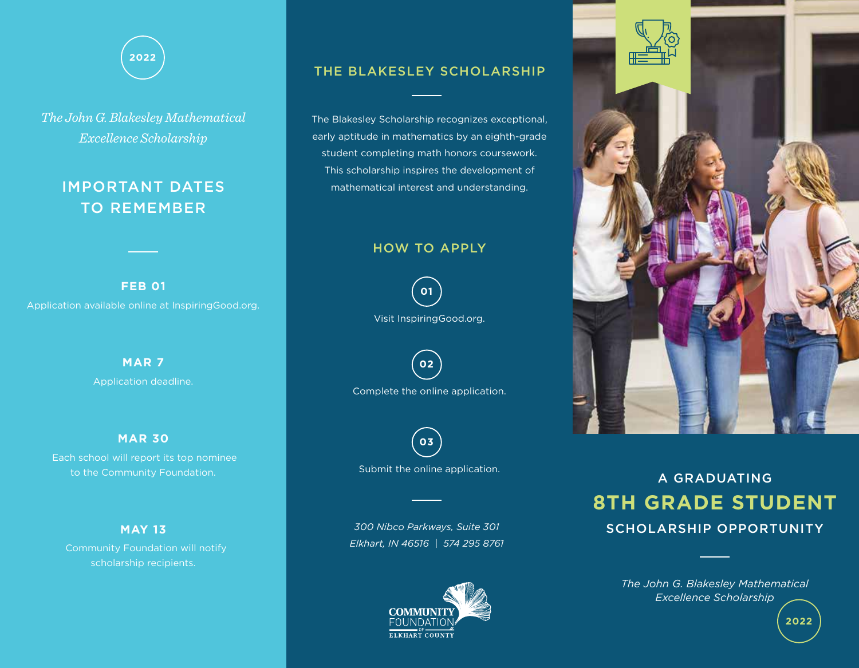

*The John G. Blakesley Mathematical Excellence Scholarship*

## IMPORTANT DATES TO REMEMBER

Application available online at InspiringGood.org. **FEB 01**

> Application deadline. **MAR 7**

#### **MAR 30**

 Each school will report its top nominee to the Community Foundation.

#### **MAY 13**

scholarship recipients.

### THE BLAKESLEY SCHOLARSHIP

The Blakesley Scholarship recognizes exceptional, early aptitude in mathematics by an eighth-grade student completing math honors coursework. This scholarship inspires the development of mathematical interest and understanding.

#### HOW TO APPLY



**02**

Complete the online application.



Submit the online application.

*300 Nibco Parkways, Suite 301 Elkhart, IN 46516 | 574 295 8761* 





# **8TH GRADE STUDENT** SCHOLARSHIP OPPORTUNITY A GRADUATING

*The John G. Blakesley Mathematical Excellence Scholarship*

**2022**